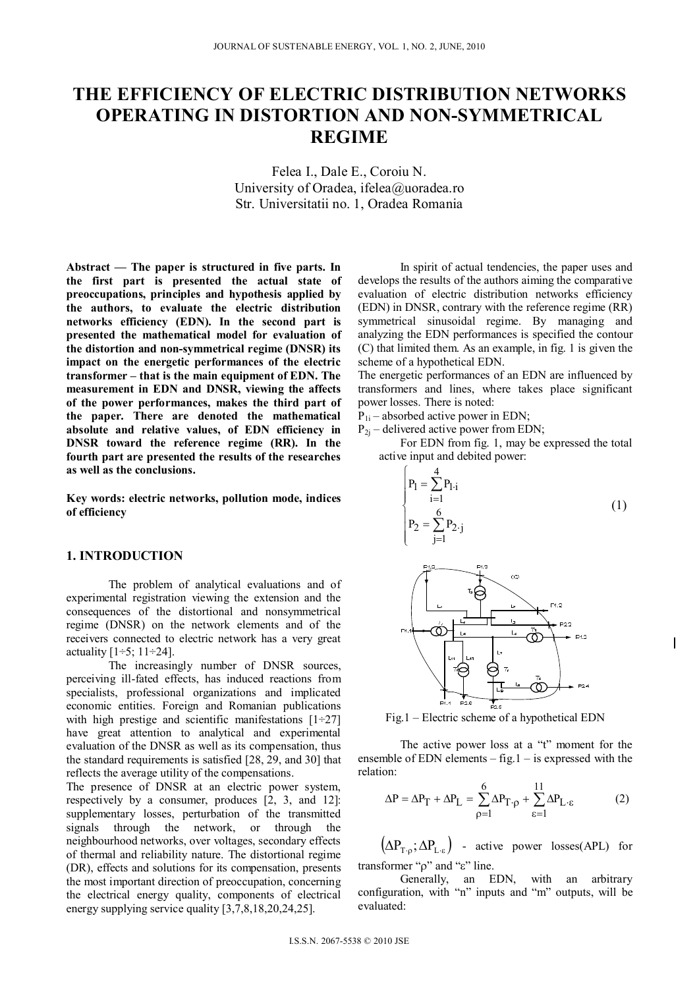# **THE EFFICIENCY OF ELECTRIC DISTRIBUTION NETWORKS OPERATING IN DISTORTION AND NON-SYMMETRICAL REGIME**

Felea I., Dale E., Coroiu N. University of Oradea, ifelea@uoradea.ro Str. Universitatii no. 1, Oradea Romania

**Abstract** *—* **The paper is structured in five parts. In the first part is presented the actual state of preoccupations, principles and hypothesis applied by the authors, to evaluate the electric distribution networks efficiency (EDN). In the second part is presented the mathematical model for evaluation of the distortion and non-symmetrical regime (DNSR) its impact on the energetic performances of the electric transformer – that is the main equipment of EDN. The measurement in EDN and DNSR, viewing the affects of the power performances, makes the third part of the paper. There are denoted the mathematical absolute and relative values, of EDN efficiency in DNSR toward the reference regime (RR). In the fourth part are presented the results of the researches as well as the conclusions.** 

**Key words: electric networks, pollution mode, indices of efficiency** 

## **1. INTRODUCTION**

The problem of analytical evaluations and of experimental registration viewing the extension and the consequences of the distortional and nonsymmetrical regime (DNSR) on the network elements and of the receivers connected to electric network has a very great actuality  $[1\div 5; 11\div 24]$ .

The increasingly number of DNSR sources, perceiving ill-fated effects, has induced reactions from specialists, professional organizations and implicated economic entities. Foreign and Romanian publications with high prestige and scientific manifestations  $[1\div 27]$ have great attention to analytical and experimental evaluation of the DNSR as well as its compensation, thus the standard requirements is satisfied [28, 29, and 30] that reflects the average utility of the compensations.

The presence of DNSR at an electric power system, respectively by a consumer, produces [2, 3, and 12]: supplementary losses, perturbation of the transmitted signals through the network, or through the neighbourhood networks, over voltages, secondary effects of thermal and reliability nature. The distortional regime (DR), effects and solutions for its compensation, presents the most important direction of preoccupation, concerning the electrical energy quality, components of electrical energy supplying service quality [3,7,8,18,20,24,25].

In spirit of actual tendencies, the paper uses and develops the results of the authors aiming the comparative evaluation of electric distribution networks efficiency (EDN) in DNSR, contrary with the reference regime (RR) symmetrical sinusoidal regime. By managing and analyzing the EDN performances is specified the contour (C) that limited them. As an example, in fig. 1 is given the scheme of a hypothetical EDN.

The energetic performances of an EDN are influenced by transformers and lines, where takes place significant power losses. There is noted:

 $P_{1i}$  – absorbed active power in EDN;

 $P_{2j}$  – delivered active power from EDN;

For EDN from fig. 1, may be expressed the total active input and debited power:

$$
P_{1} = \sum_{i=1}^{4} P_{1,i}
$$
\n
$$
P_{2} = \sum_{j=1}^{6} P_{2,j}
$$
\n
$$
P_{3} = \sum_{i=1}^{p_{1,2}} P_{2,i}
$$
\n
$$
P_{4,4} = \sum_{i=1}^{p_{1,2}} P_{1,i}
$$
\n
$$
P_{5,4} = \sum_{i=1}^{p_{1,2}} P_{1,i}
$$
\n
$$
P_{6,4} = \sum_{i=1}^{p_{1,2}} P_{1,2}
$$
\n
$$
P_{7,2}
$$
\n
$$
P_{8,4} = \sum_{i=1}^{p_{1,2}} P_{1,2}
$$
\n
$$
P_{1,2}
$$
\n
$$
P_{1,3}
$$
\n
$$
P_{1,4}
$$
\n
$$
P_{1,5}
$$
\n
$$
P_{1,6}
$$



Fig.1 – Electric scheme of a hypothetical EDN

The active power loss at a "t" moment for the ensemble of EDN elements  $-$  fig.  $1 -$  is expressed with the relation:

$$
\Delta P = \Delta P_T + \Delta P_L = \sum_{\rho=1}^{6} \Delta P_{T \cdot \rho} + \sum_{\epsilon=1}^{11} \Delta P_{L \cdot \epsilon}
$$
 (2)

 $(\Delta P_{T, \Omega}; \Delta P_{T, \varepsilon})$  - active power losses(APL) for transformer " $\rho$ " and " $\varepsilon$ " line.

Generally, an EDN, with an arbitrary configuration, with "n" inputs and "m" outputs, will be evaluated: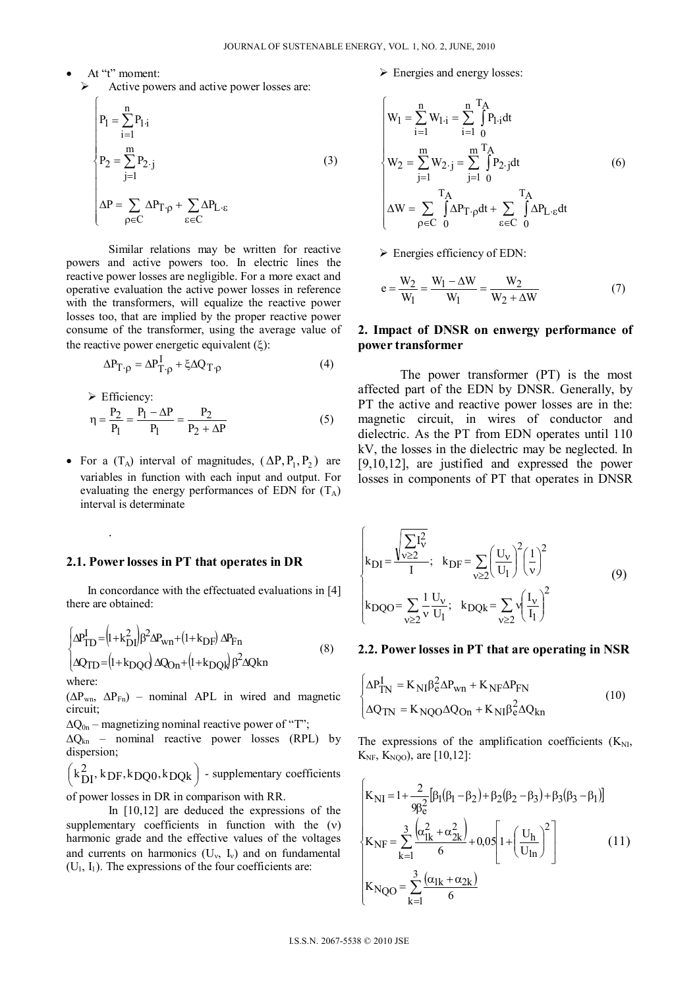- At "t" moment:
	- $\triangleright$  Active powers and active power losses are:

$$
P_1 = \sum_{i=1}^{n} P_{1,i}
$$
  
\n
$$
P_2 = \sum_{j=1}^{m} P_{2\cdot j}
$$
  
\n
$$
\Delta P = \sum_{\rho \in C} \Delta P_{T\cdot \rho} + \sum_{\varepsilon \in C} \Delta P_{L\cdot \varepsilon}
$$
  
\n(3)

Similar relations may be written for reactive powers and active powers too. In electric lines the reactive power losses are negligible. For a more exact and operative evaluation the active power losses in reference with the transformers, will equalize the reactive power losses too, that are implied by the proper reactive power consume of the transformer, using the average value of the reactive power energetic equivalent  $(\xi)$ :

$$
\Delta P_{T \cdot \rho} = \Delta P_{T \cdot \rho}^{I} + \xi \Delta Q_{T \cdot \rho}
$$
 (4)

Efficiency:

.

$$
\eta = \frac{P_2}{P_1} = \frac{P_1 - \Delta P}{P_1} = \frac{P_2}{P_2 + \Delta P}
$$
(5)

• For a  $(T_A)$  interval of magnitudes,  $(\Delta P, P_1, P_2)$  are variables in function with each input and output. For evaluating the energy performances of EDN for  $(T_A)$ interval is determinate

#### **2.1. Power losses in PT that operates in DR**

In concordance with the effectuated evaluations in [4] there are obtained:

$$
\begin{cases} \Delta P_{\text{TD}}^{\text{I}} = (1 + k_{\text{DI}}^2) \beta^2 \Delta P_{\text{wn}} + (1 + k_{\text{DF}}) \Delta P_{\text{Fn}} \\ \Delta Q_{\text{TD}} = (1 + k_{\text{DQQ}}) \Delta Q_{\text{On}} + (1 + k_{\text{DQR}}) \beta^2 \Delta Q \text{kn} \end{cases} \tag{8}
$$

where:

 $(\Delta P_{wn}, \ \Delta P_{Fn})$  – nominal APL in wired and magnetic circuit;

 $\Delta Q_{0n}$  – magnetizing nominal reactive power of "T";

 $\Delta Q_{\text{kn}}$  – nominal reactive power losses (RPL) by dispersion;

 $\left(k_{\text{DI}}^2, k_{\text{DF}}, k_{\text{DQ0}}, k_{\text{DQk}}\right)$  - supplementary coefficients

of power losses in DR in comparison with RR.

In [10,12] are deduced the expressions of the supplementary coefficients in function with the  $(v)$ harmonic grade and the effective values of the voltages and currents on harmonics  $(U_v, I_v)$  and on fundamental  $(U_1, I_1)$ . The expressions of the four coefficients are:

Energies and energy losses:

$$
\begin{cases}\nW_1 = \sum_{i=1}^{n} W_{1 \cdot i} = \sum_{i=1}^{n} \int_{0}^{T_A} P_{1 \cdot i} dt \\
W_2 = \sum_{j=1}^{m} W_{2 \cdot j} = \sum_{j=1}^{m} \int_{0}^{T_A} P_{2 \cdot j} dt \\
\Delta W = \sum_{\rho \in C} \int_{0}^{T_A} \Delta P_{T \cdot \rho} dt + \sum_{\epsilon \in C} \int_{0}^{T_A} \Delta P_{L \cdot \epsilon} dt\n\end{cases}
$$
\n(6)

 $\triangleright$  Energies efficiency of EDN:

$$
e = \frac{W_2}{W_1} = \frac{W_1 - \Delta W}{W_1} = \frac{W_2}{W_2 + \Delta W}
$$
(7)

## **2. Impact of DNSR on enwergy performance of power transformer**

The power transformer (PT) is the most affected part of the EDN by DNSR. Generally, by PT the active and reactive power losses are in the: magnetic circuit, in wires of conductor and dielectric. As the PT from EDN operates until 110 kV, the losses in the dielectric may be neglected. In [9,10,12], are justified and expressed the power losses in components of PT that operates in DNSR

$$
\begin{cases}\nk_{DI} = \frac{\sqrt{\sum I_v^2}}{I} ; & k_{DF} = \sum_{v \ge 2} \left(\frac{U_v}{U_1}\right)^2 \left(\frac{1}{v}\right)^2 \\
k_{DQO} = \sum_{v \ge 2} \frac{1}{v} \frac{U_v}{U_1}; & k_{DQk} = \sum_{v \ge 2} \sqrt{\frac{I_v}{I_1}}\n\end{cases} (9)
$$

#### **2.2. Power losses in PT that are operating in NSR**

$$
\begin{cases} \Delta P_{TN}^I = K_{NI} \beta_e^2 \Delta P_{wn} + K_{NF} \Delta P_{FN} \\ \Delta Q_{TN} = K_{NQO} \Delta Q_{On} + K_{NI} \beta_e^2 \Delta Q_{kn} \end{cases}
$$
(10)

The expressions of the amplification coefficients  $(K_{NL})$ ,  $K_{NF}$ ,  $K_{NOO}$ , are [10,12]:

$$
\begin{cases}\nK_{\text{NI}} = 1 + \frac{2}{9\beta_e^2} [\beta_1 (\beta_1 - \beta_2) + \beta_2 (\beta_2 - \beta_3) + \beta_3 (\beta_3 - \beta_1)] \\
K_{\text{NF}} = \sum_{k=1}^3 \frac{(\alpha_{1k}^2 + \alpha_{2k}^2)}{6} + 0.05 \left[ 1 + \left(\frac{U_h}{U_{\text{In}}}\right)^2 \right] \\
K_{\text{NQO}} = \sum_{k=1}^3 \frac{(\alpha_{1k} + \alpha_{2k})}{6}\n\end{cases}
$$
\n(11)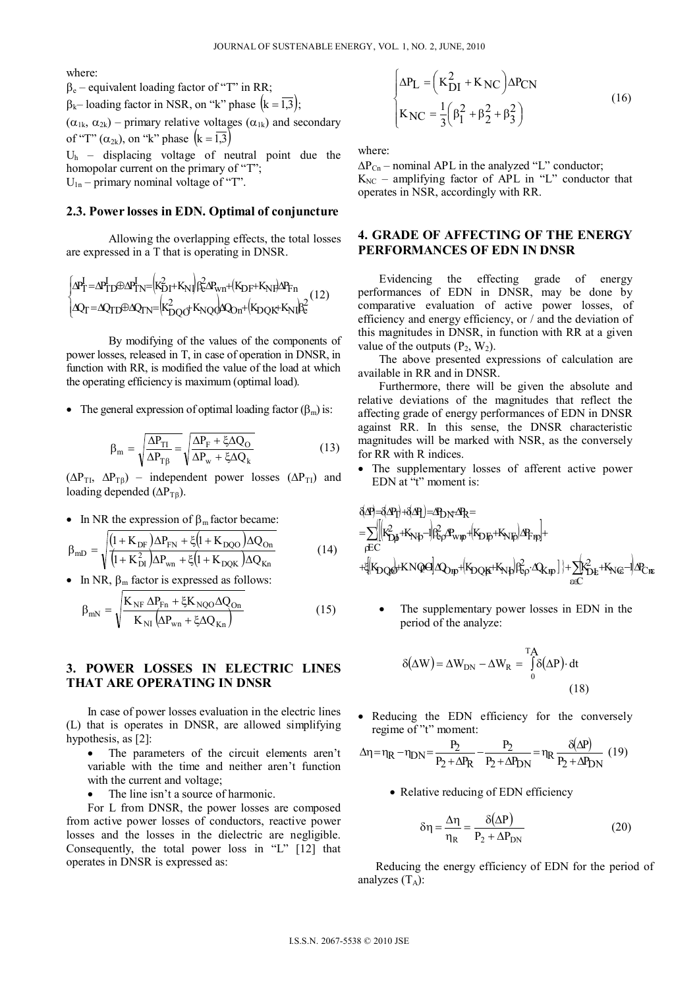where:

 $\beta_e$  – equivalent loading factor of "T" in RR;  $\beta_k$ – loading factor in NSR, on "k" phase  $(k = 1,3)$ ;  $(\alpha_{1k}, \alpha_{2k})$  – primary relative voltages  $(\alpha_{1k})$  and secondary of "T"  $(\alpha_{2k})$ , on "k" phase  $(k = 1,3)$ 

 $U<sub>h</sub>$  – displacing voltage of neutral point due the homopolar current on the primary of "T";  $U_{1n}$  – primary nominal voltage of "T".

#### **2.3. Power losses in EDN. Optimal of conjuncture**

Allowing the overlapping effects, the total losses are expressed in a T that is operating in DNSR.

$$
\begin{cases} \Delta P_T^I = \Delta P_{TD}^I \text{D} \Delta P_{TN}^I = \left( K_{DT}^2 + K_{NI} \right) \beta_0^2 \Delta P_{wn} + \left( K_{DF} + K_{NI} \right) \Delta P_{Fn} \\ \Delta Q_T = \Delta Q_{TD} \text{D} \Delta Q_{TN} = \left( K_{DQO}^2 + K_{NQ} \right) \Delta Q_{dn} + \left( K_{DQK} + K_{NI} \right) \beta_0^2 \end{cases} (12)
$$

By modifying of the values of the components of power losses, released in T, in case of operation in DNSR, in function with RR, is modified the value of the load at which the operating efficiency is maximum (optimal load).

• The general expression of optimal loading factor  $(\beta_m)$  is:

$$
\beta_{\rm m} = \sqrt{\frac{\Delta P_{\rm TI}}{\Delta P_{\rm T\beta}}} = \sqrt{\frac{\Delta P_{\rm F} + \xi \Delta Q_{\rm O}}{\Delta P_{\rm w} + \xi \Delta Q_{\rm k}}}
$$
(13)

 $(\Delta P_{T1}, \Delta P_{T0})$  – independent power losses  $(\Delta P_{T1})$  and loading depended  $(\Delta P_{T\beta})$ .

• In NR the expression of  $\beta_m$  factor became:

$$
\beta_{\rm mD} = \sqrt{\frac{(1 + K_{\rm DF})\Delta P_{\rm FN} + \xi \left(1 + K_{\rm DQO}\right)\Delta Q_{\rm On}}{\left(1 + K_{\rm DI}\right)\Delta P_{\rm wn} + \xi \left(1 + K_{\rm DQK}\right)\Delta Q_{\rm Kn}}}
$$
(14)

In NR,  $\beta_m$  factor is expressed as follows:

$$
\beta_{mN} = \sqrt{\frac{K_{NF} \Delta P_{Fn} + \xi K_{NQO} \Delta Q_{On}}{K_{NI} \left(\Delta P_{wn} + \xi \Delta Q_{Kn}\right)}}
$$
(15)

## **3. POWER LOSSES IN ELECTRIC LINES THAT ARE OPERATING IN DNSR**

In case of power losses evaluation in the electric lines (L) that is operates in DNSR, are allowed simplifying hypothesis, as [2]:

• The parameters of the circuit elements aren't variable with the time and neither aren't function with the current and voltage;

• The line isn't a source of harmonic.

For L from DNSR, the power losses are composed from active power losses of conductors, reactive power losses and the losses in the dielectric are negligible. Consequently, the total power loss in "L" [12] that operates in DNSR is expressed as:

$$
\begin{cases} \Delta P_{L} = (K_{DI}^{2} + K_{NC})\Delta P_{CN} \\ K_{NC} = \frac{1}{3}(\beta_{1}^{2} + \beta_{2}^{2} + \beta_{3}^{2}) \end{cases}
$$
(16)

where:

 $\Delta P_{Cn}$  – nominal APL in the analyzed "L" conductor;  $K_{NC}$  – amplifying factor of APL in "L" conductor that operates in NSR, accordingly with RR.

## **4. GRADE OF AFFECTING OF THE ENERGY PERFORMANCES OF EDN IN DNSR**

Evidencing the effecting grade of energy performances of EDN in DNSR, may be done by comparative evaluation of active power losses, of efficiency and energy efficiency, or / and the deviation of this magnitudes in DNSR, in function with RR at a given value of the outputs  $(P_2, W_2)$ .

The above presented expressions of calculation are available in RR and in DNSR.

Furthermore, there will be given the absolute and relative deviations of the magnitudes that reflect the affecting grade of energy performances of EDN in DNSR against RR. In this sense, the DNSR characteristic magnitudes will be marked with NSR, as the conversely for RR with R indices.

 The supplementary losses of afferent active power EDN at "t" moment is:

 Cn C NC 2 Kn DI 2 eNIDQKOnDQO EC FnNFDFwn 2 eNI 2 DI RDNLT P1KKQKKQ1KNQOK PKKP1KK PPPPP

 The supplementary power losses in EDN in the period of the analyze:

$$
\delta(\Delta W) = \Delta W_{DN} - \Delta W_R = \int_0^{T_A} \delta(\Delta P) \cdot dt
$$
\n(18)

• Reducing the EDN efficiency for the conversely regime of "t" moment:

$$
\Delta \eta = \eta_R - \eta_{DN} = \frac{P_2}{P_2 + \Delta P_R} - \frac{P_2}{P_2 + \Delta P_{DN}} = \eta_R \frac{\delta(\Delta P)}{P_2 + \Delta P_{DN}}
$$
(19)

• Relative reducing of EDN efficiency

$$
\delta \eta = \frac{\Delta \eta}{\eta_R} = \frac{\delta(\Delta P)}{P_2 + \Delta P_{DN}}
$$
 (20)

Reducing the energy efficiency of EDN for the period of analyzes  $(T_A)$ :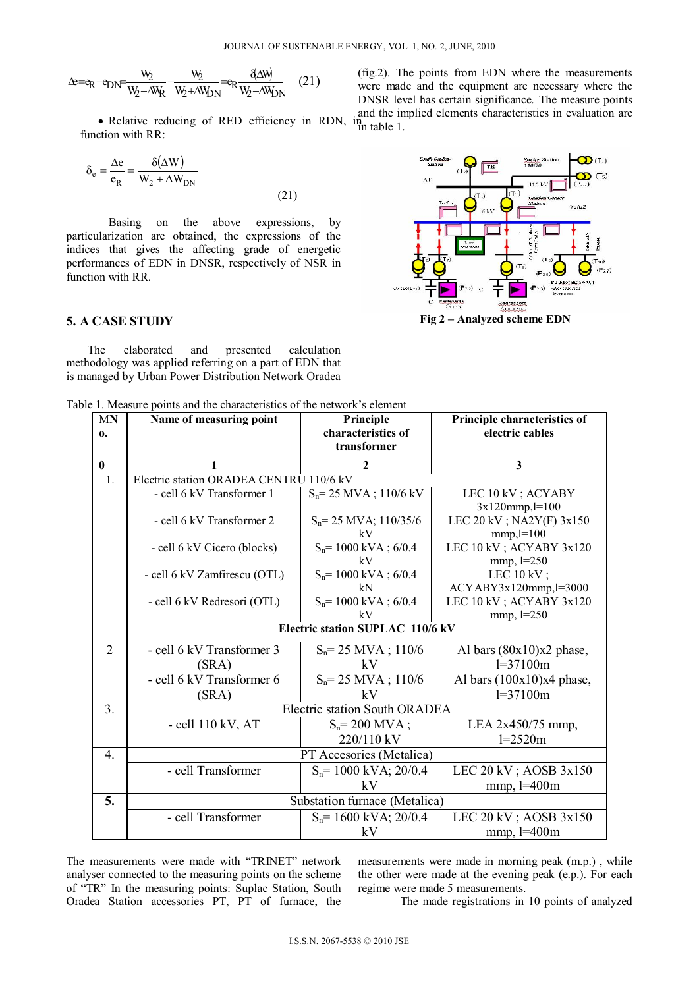$$
\Delta e = e_R - e_{DN} = \frac{W_2}{W_2 + \Delta W_R} - \frac{W_2}{W_2 + \Delta W_{DN}} = e_R \frac{\delta \Delta W}{W_2 + \Delta W_{DN}}
$$
 (21)

function with RR:

$$
\delta_{\rm e} = \frac{\Delta \rm e}{\rm e_R} = \frac{\delta(\Delta W)}{W_2 + \Delta W_{\rm DN}}\tag{21}
$$

Basing on the above expressions, by particularization are obtained, the expressions of the indices that gives the affecting grade of energetic performances of EDN in DNSR, respectively of NSR in function with RR.

## **5. A CASE STUDY**

The elaborated and presented calculation methodology was applied referring on a part of EDN that is managed by Urban Power Distribution Network Oradea

Table 1. Measure points and the characteristics of the network's element

| MN               | Name of measuring point                 | Principle                     | Principle characteristics of             |  |  |  |  |  |  |  |
|------------------|-----------------------------------------|-------------------------------|------------------------------------------|--|--|--|--|--|--|--|
| 0.               |                                         | characteristics of            | electric cables                          |  |  |  |  |  |  |  |
|                  |                                         | transformer                   |                                          |  |  |  |  |  |  |  |
| $\bf{0}$         |                                         | 2                             | 3                                        |  |  |  |  |  |  |  |
| $\mathbf{1}$ .   | Electric station ORADEA CENTRU 110/6 kV |                               |                                          |  |  |  |  |  |  |  |
|                  | - cell 6 kV Transformer 1               | $S_n = 25$ MVA; 110/6 kV      | LEC 10 kV; ACYABY                        |  |  |  |  |  |  |  |
|                  |                                         |                               | $3x120$ mmp, $l=100$                     |  |  |  |  |  |  |  |
|                  | - cell 6 kV Transformer 2               | $S_n = 25$ MVA; 110/35/6      | LEC 20 kV; NA2Y(F) 3x150                 |  |  |  |  |  |  |  |
|                  | - cell 6 kV Cicero (blocks)             | kV<br>$S_n = 1000$ kVA; 6/0.4 | $mmp, l=100$<br>LEC 10 kV ; ACYABY 3x120 |  |  |  |  |  |  |  |
|                  |                                         | kV                            | $mmp, l=250$                             |  |  |  |  |  |  |  |
|                  | - cell 6 kV Zamfirescu (OTL)            | $S_n = 1000$ kVA; 6/0.4       | LEC $10 \text{ kV}$ ;                    |  |  |  |  |  |  |  |
|                  |                                         | kN                            | $ACYABY3x120mmp, l=3000$                 |  |  |  |  |  |  |  |
|                  | - cell 6 kV Redresori (OTL)             | $S_n = 1000$ kVA; 6/0.4       | LEC 10 kV ; ACYABY 3x120                 |  |  |  |  |  |  |  |
|                  |                                         | kV                            | $mmp, l=250$                             |  |  |  |  |  |  |  |
|                  | Electric station SUPLAC 110/6 kV        |                               |                                          |  |  |  |  |  |  |  |
| $\overline{2}$   | - cell 6 kV Transformer 3               | $S_n = 25$ MVA; 110/6         | Al bars $(80x10)x2$ phase,               |  |  |  |  |  |  |  |
|                  | (SRA)                                   | kV                            | $l = 37100m$                             |  |  |  |  |  |  |  |
|                  | - cell 6 kV Transformer 6               | $S_n = 25$ MVA; 110/6         | Al bars $(100x10)x4$ phase,              |  |  |  |  |  |  |  |
|                  | (SRA)                                   | kV                            | $l = 37100m$                             |  |  |  |  |  |  |  |
| 3.               |                                         | Electric station South ORADEA |                                          |  |  |  |  |  |  |  |
|                  | $-$ cell 110 kV, AT                     | $S_n = 200$ MVA;              | LEA 2x450/75 mmp,                        |  |  |  |  |  |  |  |
|                  |                                         | 220/110 kV                    | $l = 2520m$                              |  |  |  |  |  |  |  |
| $\overline{4}$ . |                                         | PT Accesories (Metalica)      |                                          |  |  |  |  |  |  |  |
|                  | - cell Transformer                      | $S_n = 1000$ kVA; 20/0.4      | LEC 20 kV; AOSB 3x150                    |  |  |  |  |  |  |  |
|                  |                                         | kV                            | $mmp$ , $l=400m$                         |  |  |  |  |  |  |  |
| 5.               |                                         | Substation furnace (Metalica) |                                          |  |  |  |  |  |  |  |
|                  | - cell Transformer                      | $S_n = 1600$ kVA; 20/0.4      | LEC 20 kV; AOSB 3x150                    |  |  |  |  |  |  |  |
|                  |                                         | kV                            | $mmp$ , $l=400m$                         |  |  |  |  |  |  |  |

The measurements were made with "TRINET" network analyser connected to the measuring points on the scheme of "TR" In the measuring points: Suplac Station, South Oradea Station accessories PT, PT of furnace, the

measurements were made in morning peak (m.p.) , while the other were made at the evening peak (e.p.). For each regime were made 5 measurements.

The made registrations in 10 points of analyzed

• Relative reducing of RED efficiency in RDN,  $\lim_{n \to \infty}$  and the implied elements characteristics in evaluation are (fig.2). The points from EDN where the measurements were made and the equipment are necessary where the DNSR level has certain significance. The measure points in table 1.

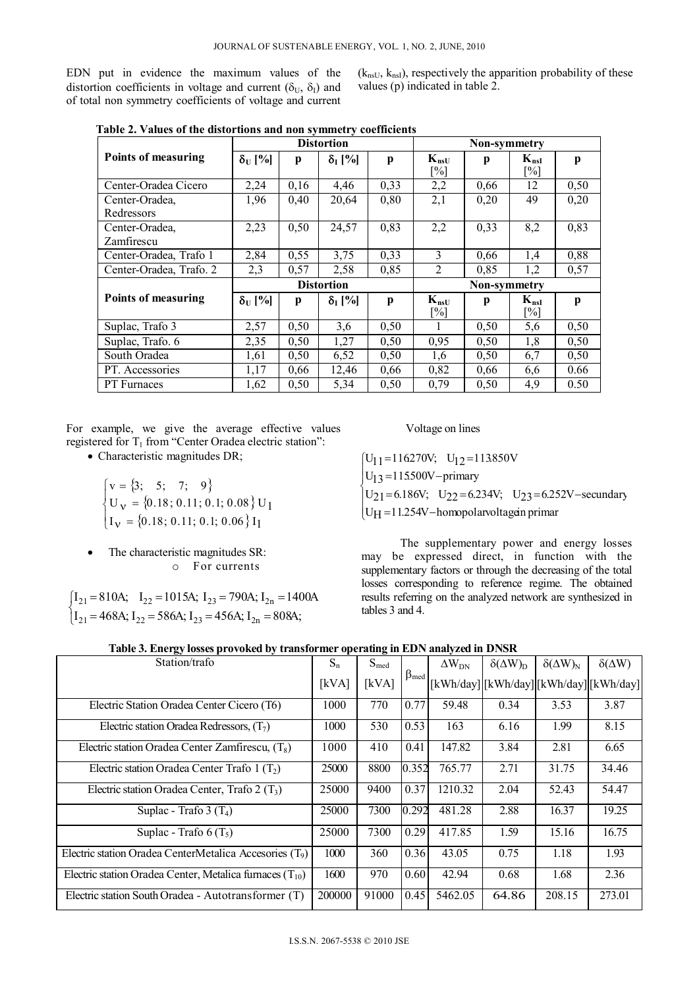EDN put in evidence the maximum values of the distortion coefficients in voltage and current ( $\delta_{U}$ ,  $\delta_{I}$ ) and of total non symmetry coefficients of voltage and current  $(k_{nsU}, k_{nsI})$ , respectively the apparition probability of these values (p) indicated in table 2.

|                              | <b>Distortion</b> |      |                      |              | <b>Non-symmetry</b>            |      |                                |      |  |
|------------------------------|-------------------|------|----------------------|--------------|--------------------------------|------|--------------------------------|------|--|
| <b>Points of measuring</b>   | $\delta_U$ [%]    | p    | $\delta_{\rm I}$ [%] | p            | $K_{nsU}$<br>$\lceil\% \rceil$ | p    | $K_{nsI}$<br>$\lceil\% \rceil$ | p    |  |
| Center-Oradea Cicero         | 2,24              | 0,16 | 4,46                 | 0,33         | 2,2                            | 0,66 | 12                             | 0,50 |  |
| Center-Oradea.<br>Redressors | 1,96              | 0,40 | 20,64                | 0,80         | 2,1                            | 0,20 | 49                             | 0,20 |  |
| Center-Oradea,<br>Zamfirescu | 2,23              | 0,50 | 24,57                | 0,83         | 2,2                            | 0,33 | 8,2                            | 0,83 |  |
| Center-Oradea, Trafo 1       | 2,84              | 0,55 | 3,75                 | 0,33         | 3                              | 0,66 | 1,4                            | 0,88 |  |
| Center-Oradea, Trafo. 2      | 2,3               | 0,57 | 2,58                 | 0,85         | $\overline{2}$                 | 0,85 | 1,2                            | 0,57 |  |
|                              | <b>Distortion</b> |      |                      |              | Non-symmetry                   |      |                                |      |  |
| Points of measuring          | $\delta_U$ [%]    | p    | $\delta_{\rm I}$ [%] | $\mathbf{p}$ | $K_{nsU}$<br>$\lceil\% \rceil$ | p    | $K_{nsI}$<br>[%]               | p    |  |
| Suplac, Trafo 3              | 2,57              | 0,50 | 3,6                  | 0,50         |                                | 0,50 | 5,6                            | 0,50 |  |
| Suplac, Trafo. 6             | 2,35              | 0,50 | 1,27                 | 0,50         | 0,95                           | 0.50 | 1,8                            | 0,50 |  |
| South Oradea                 | 1,61              | 0,50 | 6,52                 | 0,50         | 1,6                            | 0,50 | 6,7                            | 0,50 |  |
| PT. Accessories              | 1,17              | 0,66 | 12,46                | 0,66         | 0,82                           | 0,66 | 6,6                            | 0.66 |  |
| <b>PT</b> Furnaces           | 1,62              | 0,50 | 5,34                 | 0,50         | 0,79                           | 0,50 | 4,9                            | 0.50 |  |

 **Table 2. Values of the distortions and non symmetry coefficients** 

For example, we give the average effective values registered for T<sub>1</sub> from "Center Oradea electric station":

• Characteristic magnitudes DR;

 $\{3; 5; 7; 9\}$  $\{0.18; 0.11; 0.1; 0.08\}$  $I_V = \{0.18; 0.11; 0.1; 0.06\}$  $\left\{ \right.$  $\left| \right|$  $v =$  $v =$  $=$  $I_V = \{0.18; 0.11; 0.1; 0.06\} I_1$  $U_{\mathbf{V}} = \{0.18; 0.11; 0.1; 0.08\} \mathbf{U}_{1}$  $v = \{3; 5; 7; 9$ 

 The characteristic magnitudes SR: o For currents

 $\mathbf{I}$  $1_{121}$  = 468A; I<sub>22</sub> = 586A; I<sub>23</sub> = 456A; I<sub>2n</sub> = 808A;  $I_{21} = 810$ A;  $I_{22} = 1015$ A;  $I_{23} = 790$ A;  $I_{2n} = 1400$ A

#### Voltage on lines

 $\text{U}_{\text{H}}$  = 11.254V – homopolar voltagein primar  $\downarrow$  $\bigcup U_{13} = 115500V - \text{primary}$  $U_{21} = 6.186V; U_{22} = 6.234V; U_{23} = 6.252V$ -secundary  $\begin{cases} U_1 = 116270V; U_1 = 113.850V \end{cases}$ 

The supplementary power and energy losses may be expressed direct, in function with the supplementary factors or through the decreasing of the total losses corresponding to reference regime. The obtained results referring on the analyzed network are synthesized in tables 3 and 4.

## **Table 3. Energy losses provoked by transformer operating in EDN analyzed in DNSR**

| Station/trafo                                                       | $S_n$  | $S_{med}$ |                      | $\Delta W_{DN}$ | $\delta(\Delta W)_{D}$ | $\delta(\Delta W)_N$ | $\delta(\Delta W)$                   |
|---------------------------------------------------------------------|--------|-----------|----------------------|-----------------|------------------------|----------------------|--------------------------------------|
|                                                                     | [kVA]  | [kVA]     | $\beta_{\text{med}}$ |                 |                        |                      | [kWh/day][kWh/day][kWh/day][kWh/day] |
| Electric Station Oradea Center Cicero (T6)                          | 1000   | 770       | 0.77                 | 59.48           | 0.34                   | 3.53                 | 3.87                                 |
| Electric station Oradea Redressors, $(T_7)$                         | 1000   | 530       | 0.53                 | 163             | 6.16                   | 1.99                 | 8.15                                 |
| Electric station Oradea Center Zamfirescu, $(T_8)$                  | 1000   | 410       | 0.41                 | 147.82          | 3.84                   | 2.81                 | 6.65                                 |
| Electric station Oradea Center Trafo $1(T_2)$                       | 25000  | 8800      | 0.352                | 765.77          | 2.71                   | 31.75                | 34.46                                |
| Electric station Oradea Center, Trafo 2 $(T_3)$                     | 25000  | 9400      | 0.37                 | 1210.32         | 2.04                   | 52.43                | 54.47                                |
| Suplac - Trafo 3 $(T_4)$                                            | 25000  | 7300      | 0.292                | 481.28          | 2.88                   | 16.37                | 19.25                                |
| Suplac - Trafo $6(T_5)$                                             | 25000  | 7300      | 0.29                 | 417.85          | 1.59                   | 15.16                | 16.75                                |
| Electric station Oradea CenterMetalica Accesories (T <sub>9</sub> ) | 1000   | 360       | 0.36                 | 43.05           | 0.75                   | 1.18                 | 1.93                                 |
| Electric station Oradea Center, Metalica furnaces $(T_{10})$        | 1600   | 970       | 0.60                 | 42.94           | 0.68                   | 1.68                 | 2.36                                 |
| Electric station South Oradea - Autotransformer (T)                 | 200000 | 91000     | 0.45                 | 5462.05         | 64.86                  | 208.15               | 273.01                               |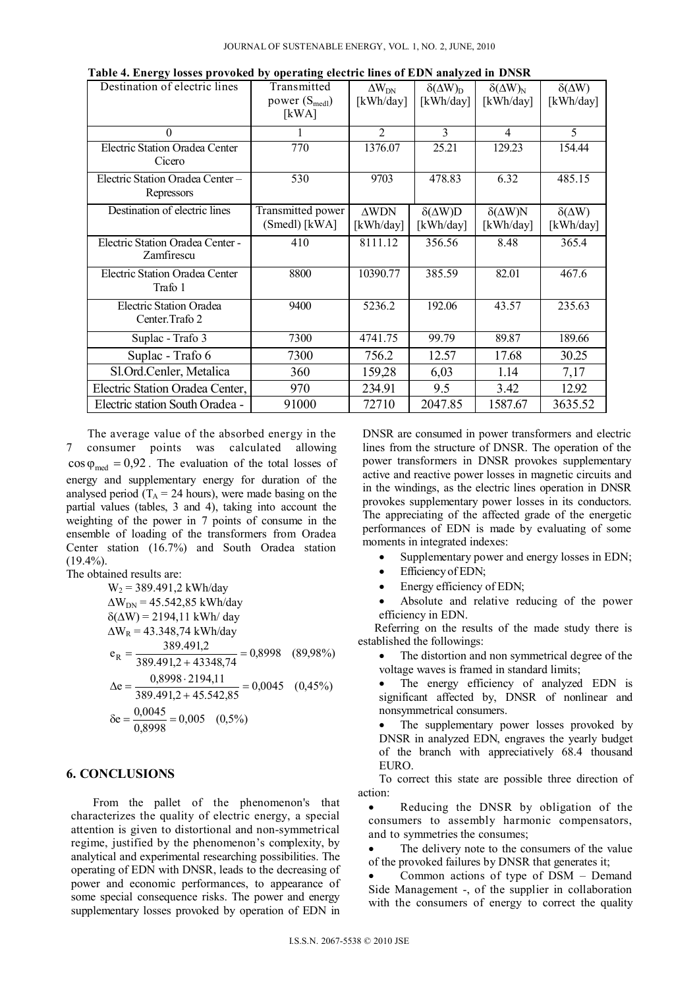| $\mathbf{r}$ and $\mathbf{s}$ research provement $\mathbf{s}$<br>Destination of electric lines | Transmitted<br>power $(S_{\text{med}})$<br>[kWA] | $\Delta W_{DN}$<br>[kWh/day] | $\delta(\Delta W)_{D}$<br>$\lceil kWh/day \rceil$ | $\delta(\Delta W)_N$<br>[kWh/day] | $\delta(\Delta W)$<br>[kWh/day] |
|------------------------------------------------------------------------------------------------|--------------------------------------------------|------------------------------|---------------------------------------------------|-----------------------------------|---------------------------------|
| $\Omega$                                                                                       |                                                  | $\overline{2}$               | $\mathcal{E}$                                     | $\overline{4}$                    | 5                               |
| Electric Station Oradea Center<br>Cicero                                                       | 770                                              | 1376.07                      | 25.21                                             | 129.23                            | 154.44                          |
| Electric Station Oradea Center -<br>Repressors                                                 | 530                                              | 9703                         | 478.83                                            | 6.32                              | 485.15                          |
| Destination of electric lines                                                                  | Transmitted power<br>(Smedl) [kWA]               | $\triangle WDN$<br>[kWh/day] | $\delta(\Delta W)D$<br>[kWh/day]                  | $\delta(\Delta W)N$<br>[kWh/day]  | $\delta(\Delta W)$<br>[kWh/day] |
| Electric Station Oradea Center -<br>Zamfirescu                                                 | 410                                              | 8111.12                      | 356.56                                            | 8.48                              | 365.4                           |
| <b>Electric Station Oradea Center</b><br>Trafo 1                                               | 8800                                             | 10390.77                     | 385.59                                            | 82.01                             | 467.6                           |
| Electric Station Oradea<br>Center. Trafo 2                                                     | 9400                                             | 5236.2                       | 192.06                                            | 43.57                             | 235.63                          |
| Suplac - Trafo 3                                                                               | 7300                                             | 4741.75                      | 99.79                                             | 89.87                             | 189.66                          |
| Suplac - Trafo 6                                                                               | 7300                                             | 756.2                        | 12.57                                             | 17.68                             | 30.25                           |
| Sl.Ord.Cenler, Metalica                                                                        | 360                                              | 159,28                       | 6,03                                              | 1.14                              | 7,17                            |
| Electric Station Oradea Center,                                                                | 970                                              | 234.91                       | 9.5                                               | 3.42                              | 12.92                           |
| Electric station South Oradea -                                                                | 91000                                            | 72710                        | 2047.85                                           | 1587.67                           | 3635.52                         |

 **Table 4. Energy losses provoked by operating electric lines of EDN analyzed in DNSR** 

The average value of the absorbed energy in the 7 consumer points was calculated allowing  $\cos \varphi_{\text{med}} = 0.92$ . The evaluation of the total losses of energy and supplementary energy for duration of the analysed period ( $T_A = 24$  hours), were made basing on the partial values (tables, 3 and 4), taking into account the weighting of the power in 7 points of consume in the ensemble of loading of the transformers from Oradea Center station (16.7%) and South Oradea station  $(19.4\%)$ .

The obtained results are:

$$
W_2 = 389.491, 2 \text{ kWh/day}
$$
  
\nΔW<sub>DN</sub> = 45.542, 85 kWh/day  
\nδ(ΔW) = 2194, 11 kWh/day  
\nΔW<sub>R</sub> = 43.348, 74 kWh/day  
\n
$$
e_R = \frac{389.491, 2}{389.491, 2 + 43348, 74} = 0,8998
$$
 (89,98%)  
\nΔe =  $\frac{0,8998 \cdot 2194, 11}{389.491, 2 + 45.542, 85} = 0,0045$  (0,45%)  
\nδe =  $\frac{0,0045}{0,8998} = 0,005$  (0,5%)

## **6. CONCLUSIONS**

From the pallet of the phenomenon's that characterizes the quality of electric energy, a special attention is given to distortional and non-symmetrical regime, justified by the phenomenon's complexity, by analytical and experimental researching possibilities. The operating of EDN with DNSR, leads to the decreasing of power and economic performances, to appearance of some special consequence risks. The power and energy supplementary losses provoked by operation of EDN in DNSR are consumed in power transformers and electric lines from the structure of DNSR. The operation of the power transformers in DNSR provokes supplementary active and reactive power losses in magnetic circuits and in the windings, as the electric lines operation in DNSR provokes supplementary power losses in its conductors. The appreciating of the affected grade of the energetic performances of EDN is made by evaluating of some moments in integrated indexes:

- Supplementary power and energy losses in EDN;
- Efficiency of EDN;
- Energy efficiency of EDN;

 Absolute and relative reducing of the power efficiency in EDN.

Referring on the results of the made study there is established the followings:

 The distortion and non symmetrical degree of the voltage waves is framed in standard limits;

 The energy efficiency of analyzed EDN is significant affected by, DNSR of nonlinear and nonsymmetrical consumers.

 The supplementary power losses provoked by DNSR in analyzed EDN, engraves the yearly budget of the branch with appreciatively 68.4 thousand EURO.

To correct this state are possible three direction of action:

 Reducing the DNSR by obligation of the consumers to assembly harmonic compensators, and to symmetries the consumes;

 The delivery note to the consumers of the value of the provoked failures by DNSR that generates it;

 Common actions of type of DSM – Demand Side Management -, of the supplier in collaboration with the consumers of energy to correct the quality